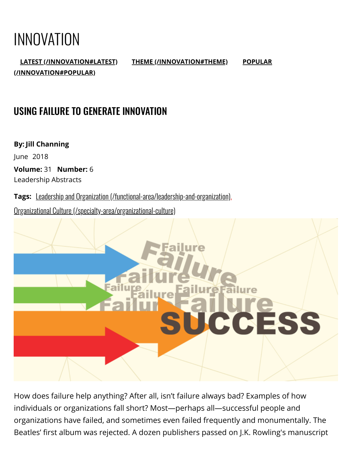# INNOVATION

LATEST [\(/INNOVATION#LATEST\)](https://www.league.org/innovation#latest) THEME [\(/INNOVATION#THEME\)](https://www.league.org/innovation#theme) POPULAR [\(/INNOVATION#POPULAR\)](https://www.league.org/innovation#popular)

## USING FAILURE TO GENERATE INNOVATION

By: Jill Channing June 2018

Volume: 31 Number: 6 Leadership Abstracts

Tags: Leadership and Organization [\(/functional-area/leadership-and-organization\)](https://www.league.org/functional-area/leadership-and-organization),

Organizational Culture [\(/specialty-area/organizational-culture\)](https://www.league.org/specialty-area/organizational-culture)



How does failure help anything? After all, isn't failure always bad? Examples of how individuals or organizations fall short? Most—perhaps all—successful people and organizations have failed, and sometimes even failed frequently and monumentally. The Beatles' first album was rejected. A dozen publishers passed on J.K. Rowling's manuscript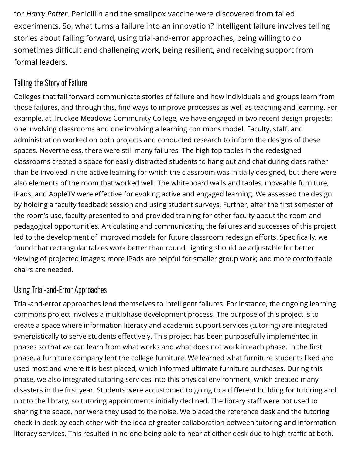for Harry Potter. Penicillin and the smallpox vaccine were discovered from failed experiments. So, what turns a failure into an innovation? Intelligent failure involves telling stories about failing forward, using trial-and-error approaches, being willing to do sometimes difficult and challenging work, being resilient, and receiving support from formal leaders.

#### Telling the Story of Failure

Colleges that fail forward communicate stories of failure and how individuals and groups learn from those failures, and through this, find ways to improve processes as well as teaching and learning. For example, at Truckee Meadows Community College, we have engaged in two recent design projects: one involving classrooms and one involving a learning commons model. Faculty, staff, and administration worked on both projects and conducted research to inform the designs of these spaces. Nevertheless, there were still many failures. The high top tables in the redesigned classrooms created a space for easily distracted students to hang out and chat during class rather than be involved in the active learning for which the classroom was initially designed, but there were also elements of the room that worked well. The whiteboard walls and tables, moveable furniture, iPads, and AppleTV were effective for evoking active and engaged learning. We assessed the design by holding a faculty feedback session and using student surveys. Further, after the first semester of the room's use, faculty presented to and provided training for other faculty about the room and pedagogical opportunities. Articulating and communicating the failures and successes of this project led to the development of improved models for future classroom redesign efforts. Specifically, we found that rectangular tables work better than round; lighting should be adjustable for better viewing of projected images; more iPads are helpful for smaller group work; and more comfortable chairs are needed.

#### Using Trial-and-Error Approaches

Trial-and-error approaches lend themselves to intelligent failures. For instance, the ongoing learning commons project involves a multiphase development process. The purpose of this project is to create a space where information literacy and academic support services (tutoring) are integrated synergistically to serve students effectively. This project has been purposefully implemented in phases so that we can learn from what works and what does not work in each phase. In the first phase, a furniture company lent the college furniture. We learned what furniture students liked and used most and where it is best placed, which informed ultimate furniture purchases. During this phase, we also integrated tutoring services into this physical environment, which created many disasters in the first year. Students were accustomed to going to a different building for tutoring and not to the library, so tutoring appointments initially declined. The library staff were not used to sharing the space, nor were they used to the noise. We placed the reference desk and the tutoring check-in desk by each other with the idea of greater collaboration between tutoring and information literacy services. This resulted in no one being able to hear at either desk due to high traffic at both.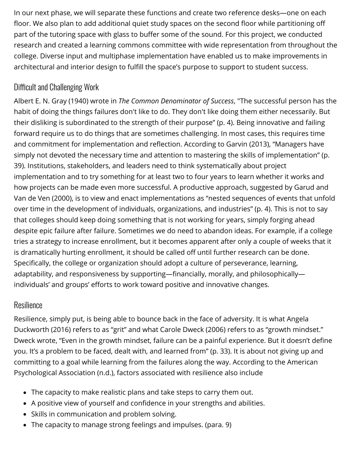In our next phase, we will separate these functions and create two reference desks—one on each floor. We also plan to add additional quiet study spaces on the second floor while partitioning off part of the tutoring space with glass to buffer some of the sound. For this project, we conducted research and created a learning commons committee with wide representation from throughout the college. Diverse input and multiphase implementation have enabled us to make improvements in architectural and interior design to fulfill the space's purpose to support to student success.

### Difficult and Challenging Work

Albert E. N. Gray (1940) wrote in *The Common Denomingtor of Success*, "The successful person has the habit of doing the things failures don't like to do. They don't like doing them either necessarily. But their disliking is subordinated to the strength of their purpose" (p. 4). Being innovative and failing forward require us to do things that are sometimes challenging. In most cases, this requires time and commitment for implementation and reflection. According to Garvin (2013), "Managers have simply not devoted the necessary time and attention to mastering the skills of implementation" (p. 39). Institutions, stakeholders, and leaders need to think systematically about project implementation and to try something for at least two to four years to learn whether it works and how projects can be made even more successful. A productive approach, suggested by Garud and Van de Ven (2000), is to view and enact implementations as "nested sequences of events that unfold over time in the development of individuals, organizations, and industries" (p. 4). This is not to say that colleges should keep doing something that is not working for years, simply forging ahead despite epic failure after failure. Sometimes we do need to abandon ideas. For example, if a college tries a strategy to increase enrollment, but it becomes apparent after only a couple of weeks that it is dramatically hurting enrollment, it should be called off until further research can be done. Specifically, the college or organization should adopt a culture of perseverance, learning, adaptability, and responsiveness by supporting—financially, morally, and philosophically individuals' and groups' efforts to work toward positive and innovative changes.

#### Resilience

Resilience, simply put, is being able to bounce back in the face of adversity. It is what Angela Duckworth (2016) refers to as "grit" and what Carole Dweck (2006) refers to as "growth mindset." Dweck wrote, "Even in the growth mindset, failure can be a painful experience. But it doesn't define you. It's a problem to be faced, dealt with, and learned from" (p. 33). It is about not giving up and committing to a goal while learning from the failures along the way. According to the American Psychological Association (n.d.), factors associated with resilience also include

- The capacity to make realistic plans and take steps to carry them out.
- A positive view of yourself and confidence in your strengths and abilities.
- Skills in communication and problem solving.
- The capacity to manage strong feelings and impulses. (para. 9)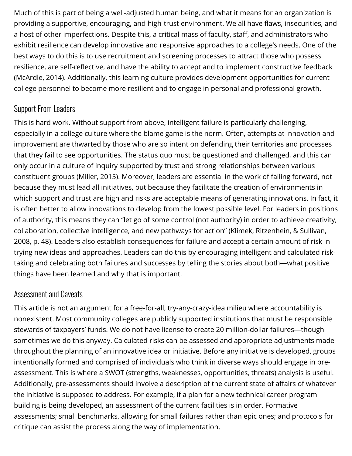Much of this is part of being a well-adjusted human being, and what it means for an organization is providing a supportive, encouraging, and high-trust environment. We all have flaws, insecurities, and a host of other imperfections. Despite this, a critical mass of faculty, staff, and administrators who exhibit resilience can develop innovative and responsive approaches to a college's needs. One of the best ways to do this is to use recruitment and screening processes to attract those who possess resilience, are self-reflective, and have the ability to accept and to implement constructive feedback (McArdle, 2014). Additionally, this learning culture provides development opportunities for current college personnel to become more resilient and to engage in personal and professional growth.

#### Support From Leaders

This is hard work. Without support from above, intelligent failure is particularly challenging, especially in a college culture where the blame game is the norm. Often, attempts at innovation and improvement are thwarted by those who are so intent on defending their territories and processes that they fail to see opportunities. The status quo must be questioned and challenged, and this can only occur in a culture of inquiry supported by trust and strong relationships between various constituent groups (Miller, 2015). Moreover, leaders are essential in the work of failing forward, not because they must lead all initiatives, but because they facilitate the creation of environments in which support and trust are high and risks are acceptable means of generating innovations. In fact, it is often better to allow innovations to develop from the lowest possible level. For leaders in positions of authority, this means they can "let go of some control (not authority) in order to achieve creativity, collaboration, collective intelligence, and new pathways for action" (Klimek, Ritzenhein, & Sullivan, 2008, p. 48). Leaders also establish consequences for failure and accept a certain amount of risk in trying new ideas and approaches. Leaders can do this by encouraging intelligent and calculated risktaking and celebrating both failures and successes by telling the stories about both—what positive things have been learned and why that is important.

#### Assessment and Caveats

This article is not an argument for a free-for-all, try-any-crazy-idea milieu where accountability is nonexistent. Most community colleges are publicly supported institutions that must be responsible stewards of taxpayers' funds. We do not have license to create 20 million-dollar failures—though sometimes we do this anyway. Calculated risks can be assessed and appropriate adjustments made throughout the planning of an innovative idea or initiative. Before any initiative is developed, groups intentionally formed and comprised of individuals who think in diverse ways should engage in preassessment. This is where a SWOT (strengths, weaknesses, opportunities, threats) analysis is useful. Additionally, pre-assessments should involve a description of the current state of affairs of whatever the initiative is supposed to address. For example, if a plan for a new technical career program building is being developed, an assessment of the current facilities is in order. Formative assessments; small benchmarks, allowing for small failures rather than epic ones; and protocols for critique can assist the process along the way of implementation.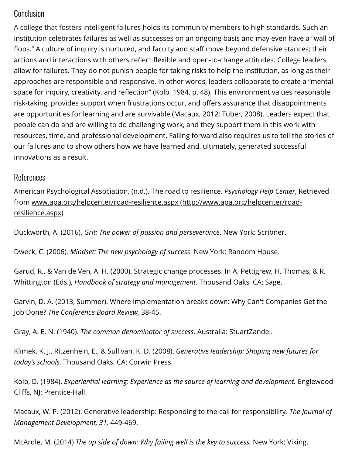#### $\mathsf{Conclusion}$  |  $\blacksquare$

A college that fosters intelligent failures holds its community members to high standards. Such an institution celebrates failures as well as successes on an ongoing basis and may even have a "wall of flops." A culture of inquiry is nurtured, and faculty and staff move beyond defensive stances; their actions and interactions with others reflect flexible and open-to-change attitudes. College leaders allow for failures. They do not punish people for taking risks to help the institution, as long as their approaches are responsible and responsive. In other words, leaders collaborate to create a "mental space for inquiry, creativity, and reflection" (Kolb, 1984, p. 48). This environment values reasonable risk-taking, provides support when frustrations occur, and offers assurance that disappointments are opportunities for learning and are survivable (Macaux, 2012; Tuber, 2008). Leaders expect that people can do and are willing to do challenging work, and they support them in this work with resources, time, and professional development. Failing forward also requires us to tell the stories of our failures and to show others how we have learned and, ultimately, generated successful innovations as a result.

#### References

American Psychological Association. (n.d.). The road to resilience. Psychology Help Center, Retrieved [from www.apa.org/helpcenter/road-resilience.aspx \(http://www.apa.org/helpcenter/road](http://www.apa.org/helpcenter/road-resilience.aspx)resilience.aspx)

Duckworth, A. (2016). Grit: The power of passion and perseverance. New York: Scribner.

Dweck, C. (2006). Mindset: The new psychology of success. New York: Random House.

Garud, R., & Van de Ven, A. H. (2000). Strategic change processes. In A. Pettigrew, H. Thomas, & R. Whittington (Eds.), Handbook of strategy and management. Thousand Oaks, CA: Sage.

Garvin, D. A. (2013, Summer). Where implementation breaks down: Why Can't Companies Get the Job Done? The Conference Board Review, 38-45.

Gray, A. E. N. (1940). The common denominator of success. Australia: StuartZandel.

Klimek, K. J., Ritzenhein, E., & Sullivan, K. D. (2008). Generative leadership: Shaping new futures for today's schools. Thousand Oaks, CA: Corwin Press.

Kolb, D. (1984). Experiential learning: Experience as the source of learning and development. Englewood Cliffs, NJ: Prentice-Hall.

Macaux, W. P. (2012). Generative leadership: Responding to the call for responsibility. The Journal of Management Development, 31, 449-469.

McArdle, M. (2014) *The up side of down: Why failing well is the key to success.* New York: Viking.